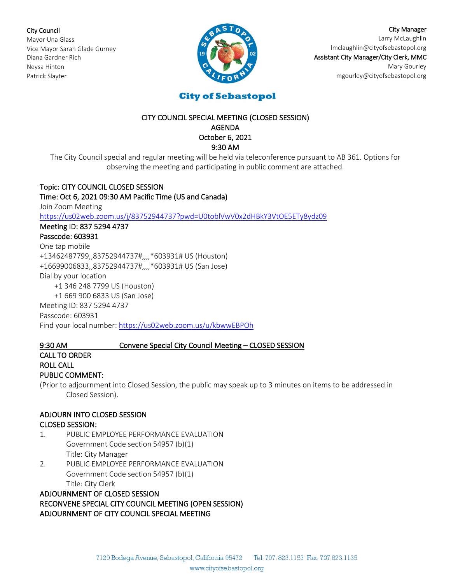City Council

Mayor Una Glass Vice Mayor Sarah Glade Gurney Diana Gardner Rich Neysa Hinton Patrick Slayter



City Manager Larry McLaughlin [lmclaughlin@cityofsebastopol.org](mailto:lmclaughlin@cityofsebastopol.org) Assistant City Manager/City Clerk, MMC Mary Gourley mgourley@cityofsebastopol.org

# **City of Sebastopol**

## CITY COUNCIL SPECIAL MEETING (CLOSED SESSION) AGENDA October 6, 2021 9:30 AM

The City Council special and regular meeting will be held via teleconference pursuant to AB 361. Options for observing the meeting and participating in public comment are attached.

# Topic: CITY COUNCIL CLOSED SESSION

# Time: Oct 6, 2021 09:30 AM Pacific Time (US and Canada)

Join Zoom Meeting

<https://us02web.zoom.us/j/83752944737?pwd=U0toblVwV0x2dHBkY3VtOE5ETy8ydz09>

# Meeting ID: 837 5294 4737

# Passcode: 603931

One tap mobile +13462487799,,83752944737#,,,,\*603931# US (Houston)

+16699006833,,83752944737#,,,,\*603931# US (San Jose)

Dial by your location

+1 346 248 7799 US (Houston)

+1 669 900 6833 US (San Jose)

Meeting ID: 837 5294 4737

Passcode: 603931

Find your local number: <https://us02web.zoom.us/u/kbwwEBPOh>

# 9:30 AM Convene Special City Council Meeting – CLOSED SESSION

# CALL TO ORDER ROLL CALL

PUBLIC COMMENT:

(Prior to adjournment into Closed Session, the public may speak up to 3 minutes on items to be addressed in Closed Session).

# ADJOURN INTO CLOSED SESSION CLOSED SESSION:

- 1. PUBLIC EMPLOYEE PERFORMANCE EVALUATION Government Code section 54957 (b)(1) Title: City Manager
- 2. PUBLIC EMPLOYEE PERFORMANCE EVALUATION Government Code section 54957 (b)(1) Title: City Clerk

ADJOURNMENT OF CLOSED SESSION RECONVENE SPECIAL CITY COUNCIL MEETING (OPEN SESSION) ADJOURNMENT OF CITY COUNCIL SPECIAL MEETING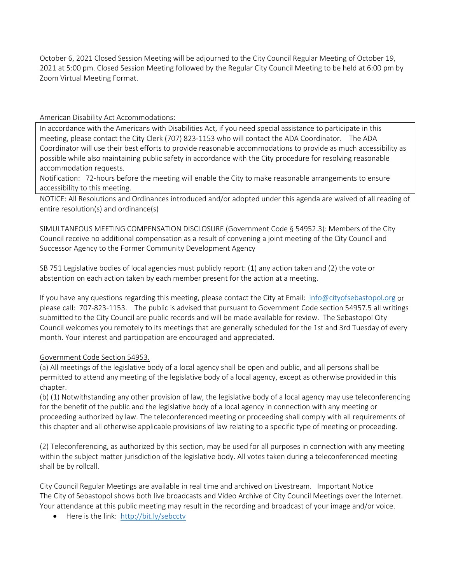October 6, 2021 Closed Session Meeting will be adjourned to the City Council Regular Meeting of October 19, 2021 at 5:00 pm. Closed Session Meeting followed by the Regular City Council Meeting to be held at 6:00 pm by Zoom Virtual Meeting Format.

# American Disability Act Accommodations:

In accordance with the Americans with Disabilities Act, if you need special assistance to participate in this meeting, please contact the City Clerk (707) 823-1153 who will contact the ADA Coordinator. The ADA Coordinator will use their best efforts to provide reasonable accommodations to provide as much accessibility as possible while also maintaining public safety in accordance with the City procedure for resolving reasonable accommodation requests.

Notification: 72-hours before the meeting will enable the City to make reasonable arrangements to ensure accessibility to this meeting.

NOTICE: All Resolutions and Ordinances introduced and/or adopted under this agenda are waived of all reading of entire resolution(s) and ordinance(s)

SIMULTANEOUS MEETING COMPENSATION DISCLOSURE (Government Code § 54952.3): Members of the City Council receive no additional compensation as a result of convening a joint meeting of the City Council and Successor Agency to the Former Community Development Agency

SB 751 Legislative bodies of local agencies must publicly report: (1) any action taken and (2) the vote or abstention on each action taken by each member present for the action at a meeting.

If you have any questions regarding this meeting, please contact the City at Email: [info@cityofsebastopol.org](mailto:info@cityofsebastopol.org) or please call: 707-823-1153. The public is advised that pursuant to Government Code section 54957.5 all writings submitted to the City Council are public records and will be made available for review. The Sebastopol City Council welcomes you remotely to its meetings that are generally scheduled for the 1st and 3rd Tuesday of every month. Your interest and participation are encouraged and appreciated.

# Government Code Section 54953.

(a) All meetings of the legislative body of a local agency shall be open and public, and all persons shall be permitted to attend any meeting of the legislative body of a local agency, except as otherwise provided in this chapter.

(b) (1) Notwithstanding any other provision of law, the legislative body of a local agency may use teleconferencing for the benefit of the public and the legislative body of a local agency in connection with any meeting or proceeding authorized by law. The teleconferenced meeting or proceeding shall comply with all requirements of this chapter and all otherwise applicable provisions of law relating to a specific type of meeting or proceeding.

(2) Teleconferencing, as authorized by this section, may be used for all purposes in connection with any meeting within the subject matter jurisdiction of the legislative body. All votes taken during a teleconferenced meeting shall be by rollcall.

City Council Regular Meetings are available in real time and archived on Livestream. Important Notice The City of Sebastopol shows both live broadcasts and Video Archive of City Council Meetings over the Internet. Your attendance at this public meeting may result in the recording and broadcast of your image and/or voice.

• Here is the link:<http://bit.ly/sebcctv>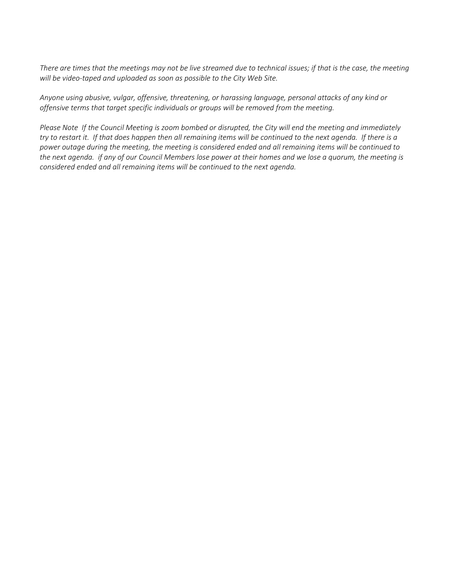*There are times that the meetings may not be live streamed due to technical issues; if that is the case, the meeting will be video-taped and uploaded as soon as possible to the City Web Site.*

*Anyone using abusive, vulgar, offensive, threatening, or harassing language, personal attacks of any kind or offensive terms that target specific individuals or groups will be removed from the meeting.*

*Please Note If the Council Meeting is zoom bombed or disrupted, the City will end the meeting and immediately try to restart it. If that does happen then all remaining items will be continued to the next agenda. If there is a power outage during the meeting, the meeting is considered ended and all remaining items will be continued to the next agenda. if any of our Council Members lose power at their homes and we lose a quorum, the meeting is considered ended and all remaining items will be continued to the next agenda.*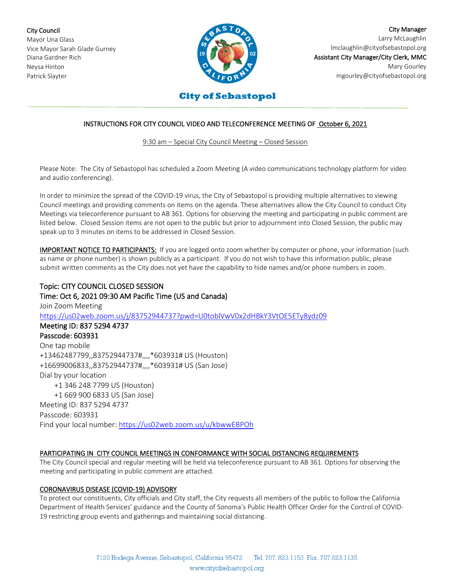City Council Mayor Una Glass Vice Mayor Sarah Glade Gurney Diana Gardner Rich Neysa Hinton Patrick Slayter



City Manager Larry McLaughlin [lmclaughlin@cityofsebastopol.org](mailto:lmclaughlin@cityofsebastopol.org) Assistant City Manager/City Clerk, MMC Mary Gourley mgourley@cityofsebastopol.org

# **City of Sebastopol**

# INSTRUCTIONS FOR CITY COUNCIL VIDEO AND TELECONFERENCE MEETING OF October 6, 2021

9:30 am – Special City Council Meeting – Closed Session

Please Note: The City of Sebastopol has scheduled a Zoom Meeting (A video communications technology platform for video and audio conferencing).

In order to minimize the spread of the COVID-19 virus, the City of Sebastopol is providing multiple alternatives to viewing Council meetings and providing comments on items on the agenda. These alternatives allow the City Council to conduct City Meetings via teleconference pursuant to AB 361. Options for observing the meeting and participating in public comment are listed below. Closed Session items are not open to the public but prior to adjournment into Closed Session, the public may speak up to 3 minutes on items to be addressed in Closed Session.

IMPORTANT NOTICE TO PARTICIPANTS: If you are logged onto zoom whether by computer or phone, your information (such as name or phone number) is shown publicly as a participant. If you do not wish to have this information public, please submit written comments as the City does not yet have the capability to hide names and/or phone numbers in zoom.

Topic: CITY COUNCIL CLOSED SESSION Time: Oct 6, 2021 09:30 AM Pacific Time (US and Canada) Join Zoom Meeting <https://us02web.zoom.us/j/83752944737?pwd=U0toblVwV0x2dHBkY3VtOE5ETy8ydz09> Meeting ID: 837 5294 4737 Passcode: 603931 One tap mobile +13462487799,,83752944737#,,,,\*603931# US (Houston) +16699006833,,83752944737#,,,,\*603931# US (San Jose) Dial by your location +1 346 248 7799 US (Houston) +1 669 900 6833 US (San Jose) Meeting ID: 837 5294 4737 Passcode: 603931 Find your local number: <https://us02web.zoom.us/u/kbwwEBPOh>

## PARTICIPATING IN CITY COUNCIL MEETINGS IN CONFORMANCE WITH SOCIAL DISTANCING REQUIREMENTS

The City Council special and regular meeting will be held via teleconference pursuant to AB 361. Options for observing the meeting and participating in public comment are attached.

### CORONAVIRUS DISEASE (COVID-19) ADVISORY

To protect our constituents, City officials and City staff, the City requests all members of the public to follow the California Department of Health Services' guidance and the County of Sonoma's Public Health Officer Order for the Control of COVID-19 restricting group events and gatherings and maintaining social distancing.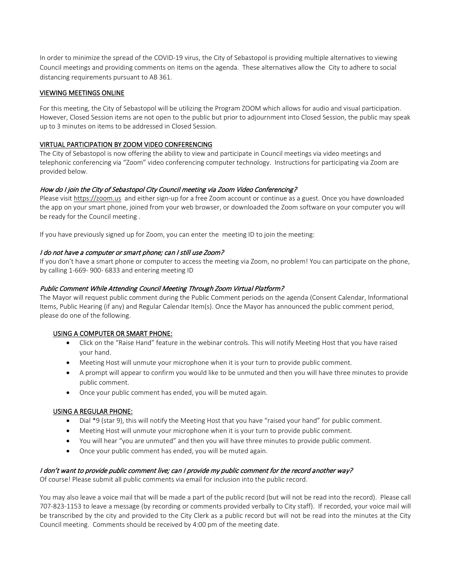In order to minimize the spread of the COVID-19 virus, the City of Sebastopol is providing multiple alternatives to viewing Council meetings and providing comments on items on the agenda. These alternatives allow the City to adhere to social distancing requirements pursuant to AB 361.

## VIEWING MEETINGS ONLINE

For this meeting, the City of Sebastopol will be utilizing the Program ZOOM which allows for audio and visual participation. However, Closed Session items are not open to the public but prior to adjournment into Closed Session, the public may speak up to 3 minutes on items to be addressed in Closed Session.

## VIRTUAL PARTICIPATION BY ZOOM VIDEO CONFERENCING

The City of Sebastopol is now offering the ability to view and participate in Council meetings via video meetings and telephonic conferencing via "Zoom" video conferencing computer technology. Instructions for participating via Zoom are provided below.

## How do I join the City of Sebastopol City Council meeting via Zoom Video Conferencing?

Please visit [https://zoom.us](https://zoom.us/) and either sign-up for a free Zoom account or continue as a guest. Once you have downloaded the app on your smart phone, joined from your web browser, or downloaded the Zoom software on your computer you will be ready for the Council meeting .

If you have previously signed up for Zoom, you can enter the meeting ID to join the meeting:

## I do not have a computer or smart phone; can I still use Zoom?

If you don't have a smart phone or computer to access the meeting via Zoom, no problem! You can participate on the phone, by calling 1-669- 900- 6833 and entering meeting ID

## Public Comment While Attending Council Meeting Through Zoom Virtual Platform?

The Mayor will request public comment during the Public Comment periods on the agenda (Consent Calendar, Informational Items, Public Hearing (if any) and Regular Calendar Item(s). Once the Mayor has announced the public comment period, please do one of the following.

### USING A COMPUTER OR SMART PHONE:

- Click on the "Raise Hand" feature in the webinar controls. This will notify Meeting Host that you have raised your hand.
- Meeting Host will unmute your microphone when it is your turn to provide public comment.
- A prompt will appear to confirm you would like to be unmuted and then you will have three minutes to provide public comment.
- Once your public comment has ended, you will be muted again.

### USING A REGULAR PHONE:

- Dial \*9 (star 9), this will notify the Meeting Host that you have "raised your hand" for public comment.
- Meeting Host will unmute your microphone when it is your turn to provide public comment.
- You will hear "you are unmuted" and then you will have three minutes to provide public comment.
- Once your public comment has ended, you will be muted again.

### I don't want to provide public comment live; can I provide my public comment for the record another way?

Of course! Please submit all public comments via email for inclusion into the public record.

You may also leave a voice mail that will be made a part of the public record (but will not be read into the record). Please call 707-823-1153 to leave a message (by recording or comments provided verbally to City staff). If recorded, your voice mail will be transcribed by the city and provided to the City Clerk as a public record but will not be read into the minutes at the City Council meeting. Comments should be received by 4:00 pm of the meeting date.